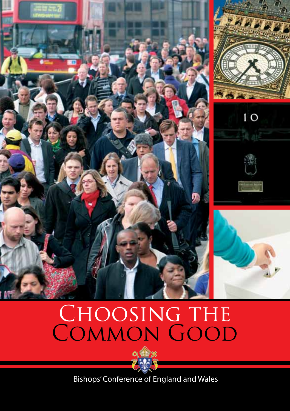

# CHOOSING THE Common Good



Bishops' Conference of England and Wales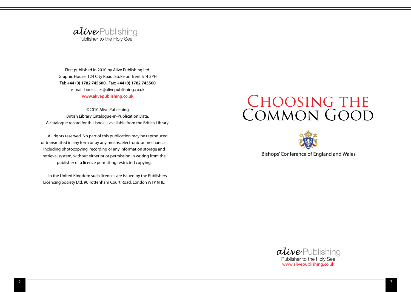

First published in 2010 by Alive Publishing Ltd. Graphic House, 124 City Road, Stoke on Trent ST4 2PH **Tel: +44 (0) 1782 745600. Fax: +44 (0) 1782 745500** e-mail: booksales@alivepublishing.co.uk **www.alivepublishing.co.uk** 

©2010 Alive Publishing British Library Catalogue-in-Publication Data. A catalogue record for this book is available from the British Library.

All rights reserved. No part of this publication may be reproduced or transmitted in any form or by any means, electronic or mechanical, including photocopying, recording or any information storage and retrieval system, without either prior permission in writing from the publisher or a licence permitting restricted copying.

In the United Kingdom such licences are issued by the Publishers Licencing Society Ltd, 90 Tottenham Court Road, London W1P 9HE.

# CHOOSING THE Common Good



Bishops' Conference of England and Wales

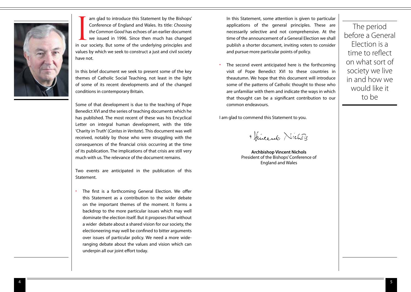

Im glad to introduce this Statement by the Bishops'<br>Conference of England and Wales. Its title: *Choosing*<br>*the Common Good* has echoes of an earlier document<br>we issued in 1996. Since then much has changed<br>in our society. am glad to introduce this Statement by the Bishops' Conference of England and Wales. Its title: *Choosing the Common Good* has echoes of an earlier document we issued in 1996. Since then much has changed values by which we seek to construct a just and civil society have not.

In this brief document we seek to present some of the key themes of Catholic Social Teaching, not least in the light of some of its recent developments and of the changed conditions in contemporary Britain.

Some of that development is due to the teaching of Pope Benedict XVI and the series of teaching documents which he has published. The most recent of these was his Encyclical Letter on integral human development, with the title 'Charity in Truth' (*Caritas in Veritate*). This document was well received, notably by those who were struggling with the consequences of the financial crisis occurring at the time of its publication. The implications of that crisis are still very much with us. The relevance of the document remains.

Two events are anticipated in the publication of this **Statement** 

• The first is a forthcoming General Election. We offer this Statement as a contribution to the wider debate on the important themes of the moment. It forms a backdrop to the more particular issues which may well dominate the election itself. But it proposes that without a wider debate about a shared vision for our society, the electioneering may well be confined to bitter arguments over issues of particular policy. We need a more wideranging debate about the values and vision which can underpin all our joint effort today.

In this Statement, some attention is given to particular applications of the general principles. These are necessarily selective and not comprehensive. At the time of the announcement of a General Election we shall publish a shorter document, inviting voters to consider and pursue more particular points of policy.

The second event anticipated here is the forthcoming visit of Pope Benedict XVI to these countries in theautumn. We hope that this document will introduce some of the patterns of Catholic thought to those who are unfamiliar with them and indicate the ways in which that thought can be a significant contribution to our common endeavours. •

I am glad to commend this Statement to you.

+ there into Nichols

**Archbishop Vincent Nichols** President of the Bishops' Conference of England and Wales

The period before a General Election is a time to reflect on what sort of society we live in and how we would like it to be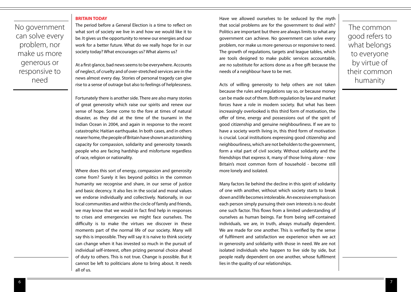## **BRITAIN TODAY**

No government can solve every problem, nor make us more

generous or responsive to need

The period before a General Election is a time to reflect on what sort of society we live in and how we would like it to be. It gives us the opportunity to renew our energies and our work for a better future. What do we really hope for in our society today? What encourages us? What alarms us?

At a first glance, bad news seems to be everywhere. Accounts of neglect, of cruelty and of over-stretched services are in the news almost every day. Stories of personal tragedy can give rise to a sense of outrage but also to feelings of helplessness.

Fortunately there is another side. There are also many stories of great generosity which raise our spirits and renew our sense of hope. Some come to the fore at times of natural disaster, as they did at the time of the tsunami in the Indian Ocean in 2004, and again in response to the recent catastrophic Haitian earthquake. In both cases, and in others nearer home, the people of Britain have shown an astonishing capacity for compassion, solidarity and generosity towards people who are facing hardship and misfortune regardless of race, religion or nationality.

Where does this sort of energy, compassion and generosity come from? Surely it lies beyond politics in the common humanity we recognise and share, in our sense of justice and basic decency. It also lies in the social and moral values we endorse individually and collectively. Nationally, in our local communities and within the circle of family and friends, we may know that we would in fact find help in responses to crises and emergencies we might face ourselves. The difficulty is to make the virtues we discover in these moments part of the normal life of our society. Many will say this is impossible. They will say it is naive to think society can change when it has invested so much in the pursuit of individual self-interest, often prizing personal choice ahead of duty to others. This is not true. Change is possible. But it cannot be left to politicians alone to bring about. It needs all of us.

Have we allowed ourselves to be seduced by the myth that social problems are for the government to deal with? Politics are important but there are always limits to what any government can achieve. No government can solve every problem, nor make us more generous or responsive to need. The growth of regulations, targets and league tables, which are tools designed to make public services accountable, are no substitute for actions done as a free gift because the needs of a neighbour have to be met.

Acts of willing generosity to help others are not taken because the rules and regulations say so, or because money can be made out of them. Both regulation by law and market forces have a role in modern society. But what has been increasingly overlooked is this third form of motivation, the offer of time, energy and possessions out of the spirit of good citizenship and genuine neighbourliness. If we are to have a society worth living in, this third form of motivation is crucial. Local institutions expressing good citizenship and neighbourliness, which are not beholden to the government, form a vital part of civil society. Without solidarity and the friendships that express it, many of those living alone - now Britain's most common form of household - become still more lonely and isolated.

Many factors lie behind the decline in this spirit of solidarity of one with another, without which society starts to break down and life becomes intolerable. An excessive emphasis on each person simply pursuing their own interests is no doubt one such factor. This flows from a limited understanding of ourselves as human beings. Far from being self-contained individuals, we are, in truth, always mutually dependent. We are made for one another. This is verified by the sense of fulfilment and satisfaction we experience when we act in generosity and solidarity with those in need. We are not isolated individuals who happen to live side by side, but people really dependent on one another, whose fulfilment lies in the quality of our relationships.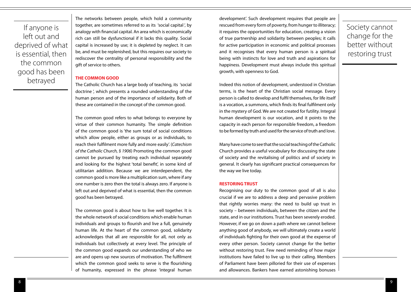If anyone is left out and deprived of what is essential, then the common good has been betrayed

The networks between people, which hold a community together, are sometimes referred to as its 'social capital ', by analogy with financial capital. An area which is economically rich can still be dysfunctional if it lacks this quality. Social capital is increased by use; it is depleted by neglect. It can be, and must be replenished, but this requires our society to rediscover the centrality of personal responsibility and the gift of service to others.

## **THE COMMON GOOD**

The Catholic Church has a large body of teaching, its 'social doctrine ', which presents a rounded understanding of the human person and of the importance of solidarity. Both of these are contained in the concept of the common good.

The common good refers to what belongs to everyone by virtue of their common humanity. The simple definition of the common good is 'the sum total of social conditions which allow people, either as groups or as individuals, to reach their fulfilment more fully and more easily'. (*Catechism of the Catholic Church, § 1906*) Promoting the common good cannot be pursued by treating each individual separately and looking for the highest 'total benefit', in some kind of utilitarian addition. Because we are interdependent, the common good is more like a multiplication sum, where if any one number is zero then the total is always zero. If anyone is left out and deprived of what is essential, then the common good has been betrayed.

The common good is about how to live well together. It is the whole network of social conditions which enable human individuals and groups to flourish and live a full, genuinely human life. At the heart of the common good, solidarity acknowledges that all are responsible for all, not only as individuals but collectively at every level. The principle of the common good expands our understanding of who we are and opens up new sources of motivation. The fulfilment which the common good seeks to serve is the flourishing of humanity, expressed in the phrase 'integral human

development'. Such development requires that people are rescued from every form of poverty, from hunger to illiteracy; it requires the opportunities for education, creating a vision of true partnership and solidarity between peoples; it calls for active participation in economic and political processes and it recognises that every human person is a spiritual being with instincts for love and truth and aspirations for happiness. Development must always include this spiritual growth, with openness to God.

Indeed this notion of development, understood in Christian terms, is the heart of the Christian social message. Every person is called to develop and fulfil themselves, for life itself is a vocation, a summons, which finds its final fulfilment only in the mystery of God. We are not created for futility. Integral human development is our vocation, and it points to the capacity in each person for responsible freedom, a freedom to be formed by truth and used for the service of truth and love.

Many have come to see that the social teaching of the Catholic Church provides a useful vocabulary for discussing the state of society and the revitalising of politics and of society in general. It clearly has significant practical consequences for the way we live today.

## **RESTORING TRUST**

Recognising our duty to the common good of all is also crucial if we are to address a deep and pervasive problem that rightly worries many: the need to build up trust in society – between individuals, between the citizen and the state, and in our institutions. Trust has been severely eroded. However, if we go on down a path where we cannot believe anything good of anybody, we will ultimately create a world of individuals fighting for their own good at the expense of every other person. Society cannot change for the better without restoring trust. Few need reminding of how major institutions have failed to live up to their calling. Members of Parliament have been pilloried for their use of expenses and allowances. Bankers have earned astonishing bonuses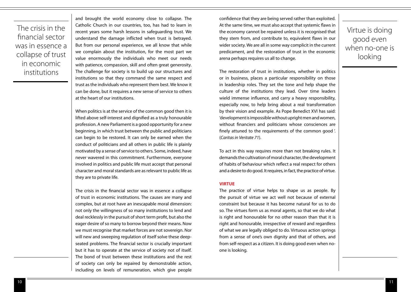The crisis in the financial sector was in essence a collapse of trust in economic institutions

and brought the world economy close to collapse. The Catholic Church in our countries, too, has had to learn in recent years some harsh lessons in safeguarding trust. We understand the damage inflicted when trust is betrayed. But from our personal experience, we all know that while we complain about the institution, for the most part we value enormously the individuals who meet our needs with patience, compassion, skill and often great generosity. The challenge for society is to build up our structures and institutions so that they command the same respect and trust as the individuals who represent them best. We know it can be done, but it requires a new sense of service to others at the heart of our institutions.

When politics is at the service of the common good then it is lifted above self-interest and dignified as a truly honourable profession. A new Parliament is a good opportunity for a new beginning, in which trust between the public and politicians can begin to be restored. It can only be earned when the conduct of politicians and all others in public life is plainly motivated by a sense of service to others. Some, indeed, have never wavered in this commitment. Furthermore, everyone involved in politics and public life must accept that personal character and moral standards are as relevant to public life as they are to private life.

The crisis in the financial sector was in essence a collapse of trust in economic institutions. The causes are many and complex, but at root have an inescapable moral dimension: not only the willingness of so many institutions to lend and deal recklessly in the pursuit of short term profit, but also the eager desire of so many to borrow beyond their means. Now we must recognise that market forces are not sovereign. Nor will new and sweeping regulation of itself solve these deepseated problems. The financial sector is crucially important but it has to operate at the service of society not of itself. The bond of trust between these institutions and the rest of society can only be repaired by demonstrable action, including on levels of remuneration, which give people confidence that they are being served rather than exploited. At the same time, we must also accept that systemic flaws in the economy cannot be repaired unless it is recognised that they stem from, and contribute to, equivalent flaws in our wider society. We are all in some way complicit in the current predicament, and the restoration of trust in the economic arena perhaps requires us all to change.

The restoration of trust in institutions, whether in politics or in business, places a particular responsibility on those in leadership roles. They set the tone and help shape the culture of the institutions they lead. Over time leaders wield immense influence, and carry a heavy responsibility, especially now, to help bring about a real transformation by their vision and example. As Pope Benedict XVI has said: 'development is impossible without upright men and women, without financiers and politicians whose consciences are finely attuned to the requirements of the common good '. (*Caritas in Veritate 71*).

To act in this way requires more than not breaking rules. It demands the cultivation of moral character, the development of habits of behaviour which reflect a real respect for others and a desire to do good. It requires, in fact, the practice of virtue.

## **VIRTUE**

The practice of virtue helps to shape us as people. By the pursuit of virtue we act well not because of external constraint but because it has become natural for us to do so. The virtues form us as moral agents, so that we do what is right and honourable for no other reason than that it is right and honourable, irrespective of reward and regardless of what we are legally obliged to do. Virtuous action springs from a sense of one's own dignity and that of others, and from self-respect as a citizen. It is doing good even when noone is looking.

## Virtue is doing good even when no-one is looking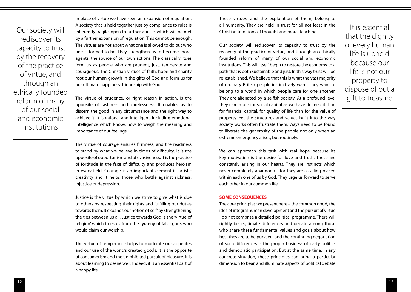Our society will rediscover its capacity to trust by the recovery of the practice of virtue, and through an ethically founded reform of many of our social and economic institutions

In place of virtue we have seen an expansion of regulation. A society that is held together just by compliance to rules is inherently fragile, open to further abuses which will be met by a further expansion of regulation. This cannot be enough. The virtues are not about what one is allowed to do but who one is formed to be. They strengthen us to become moral agents, the source of our own actions. The classical virtues form us as people who are prudent, just, temperate and courageous. The Christian virtues of faith, hope and charity root our human growth in the gifts of God and form us for our ultimate happiness: friendship with God.

The virtue of prudence, or right reason in action, is the opposite of rashness and carelessness. It enables us to discern the good in any circumstance and the right way to achieve it. It is rational and intelligent, including emotional intelligence which knows how to weigh the meaning and importance of our feelings.

The virtue of courage ensures firmness, and the readiness to stand by what we believe in times of difficulty. It is the opposite of opportunism and of evasiveness. It is the practice of fortitude in the face of difficulty and produces heroism in every field. Courage is an important element in artistic creativity and it helps those who battle against sickness, injustice or depression.

Justice is the virtue by which we strive to give what is due to others by respecting their rights and fulfilling our duties towards them. It expands our notion of 'self' by strengthening the ties between us all. Justice towards God is the 'virtue of religion' which frees us from the tyranny of false gods who would claim our worship.

The virtue of temperance helps to moderate our appetites and our use of the world's created goods. It is the opposite of consumerism and the uninhibited pursuit of pleasure. It is about learning to desire well. Indeed, it is an essential part of a happy life.

These virtues, and the exploration of them, belong to all humanity. They are held in trust for all not least in the Christian traditions of thought and moral teaching.

Our society will rediscover its capacity to trust by the recovery of the practice of virtue, and through an ethically founded reform of many of our social and economic institutions. This will itself begin to restore the economy to a path that is both sustainable and just. In this way trust will be re-established. We believe that this is what the vast majority of ordinary British people instinctively want. They want to belong to a world in which people care for one another. They are alienated by a selfish society. At a profound level they care more for social capital as we have defined it than for financial capital, for quality of life than for the value of property. Yet the structures and values built into the way society works often frustrate them. Ways need to be found to liberate the generosity of the people not only when an extreme emergency arises, but routinely.

We can approach this task with real hope because its key motivation is the desire for love and truth. These are constantly arising in our hearts. They are instincts which never completely abandon us for they are a calling placed within each one of us by God. They urge us forward to serve each other in our common life.

### **SOME CONSEQUENCES**

The core principles we present here – the common good, the idea of integral human development and the pursuit of virtue - do not comprise a detailed political programme. There will rightly be legitimate differences and debate among those who share these fundamental values and goals about how best they are to be pursued, and the continuing negotiation of such differences is the proper business of party politics and democratic participation. But at the same time, in any concrete situation, these principles can bring a particular dimension to bear, and illuminate aspects of political debate

It is essential that the dignity of every human life is upheld because our life is not our property to dispose of but a gift to treasure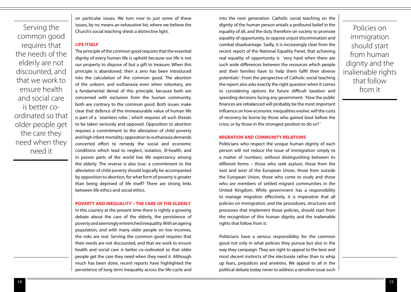Serving the common good requires that the needs of the elderly are not discounted, and that we work to ensure health and social care is better coordinated so that older people get the care they need when they need it

on particular issues. We turn now to just some of these issues, by no means an exhaustive list, where we believe the Church's social teaching sheds a distinctive light.

## **LIFE ITSELF**

The principle of the common good requires that the essential dignity of every human life is upheld because our life is not our property to dispose of but a gift to treasure. When this principle is abandoned, then a zero has been introduced into the calculation of the common good. The abortion of the unborn, and euthanasia even when voluntary, are a fundamental denial of this principle, because both are concerned with exclusion from the human community, both are contrary to the common good. Both issues make clear that defence of the immeasurable value of human life is part of a 'seamless robe ', which requires all such threats to be taken seriously and opposed. Opposition to abortion requires a commitment to the alleviation of child poverty and high infant mortality; opposition to euthanasia demands concerted effort to remedy the social and economic conditions which lead to neglect, isolation, ill-health, and in poorer parts of the world low life expectancy among the elderly. The reverse is also true: a commitment to the alleviation of child poverty should logically be accompanied by opposition to abortion, for what form of poverty is greater than being deprived of life itself? There are strong links between life ethics and social ethics.

## **POVERTY AND INEQUALITY – THE CARE OF THE ELDERLY**

In this country at the present time there is rightly a growing debate about the care of the elderly, the persistence of poverty and seemingly entrenched inequality. With an ageing population, and with many older people on low incomes, the risks are real. Serving the common good requires that their needs are not discounted, and that we work to ensure health and social care is better co-ordinated so that older people get the care they need when they need it. Although much has been done, recent reports have highlighted the persistence of long term inequality across the life-cycle and into the next generation. Catholic social teaching on the dignity of the human person entails a profound belief in the equality of all, and the duty therefore on society to promote equality of opportunity, to oppose unjust discrimination and combat disadvantage. Sadly, it is increasingly clear from the recent report of the National Equality Panel, that achieving real equality of opportunity is 'very hard when there are such wide differences between the resources which people and their families have to help them fulfil their diverse potentials '. From the perspective of Catholic social teaching the report also asks exactly the right question when it comes to considering options for future difficult taxation and spending decisions facing any government: 'How the public finances are rebalanced will probably be the most important influence on how economic inequalities evolve: will the costs of recovery be borne by those who gained least before the crisis, or by those in the strongest position to do so? '

#### **MIGRATION AND COMMUNITY RELATIONS**

Politicians who respect the unique human dignity of each person will not reduce the issue of immigration simply to a matter of numbers, without distinguishing between its different forms – those who seek asylum, those from the east and west of the European Union, those from outside the European Union, those who come to study and those who are members of settled migrant communities in the United Kingdom. While government has a responsibility to manage migration effectively, it is imperative that all policies on immigration, and the procedures, structures and processes that implement those policies, should start from the recognition of this human dignity and the inalienable rights that follow from it.

Politicians have a serious responsibility for the common good not only in what policies they pursue but also in the way they campaign. They are right to appeal to the best and most decent instincts of the electorate rather than to whip up fears, prejudices and anxieties. We appeal to all in the political debate today never to address a sensitive issue such

Policies on immigration should start from human dignity and the inalienable rights that follow from it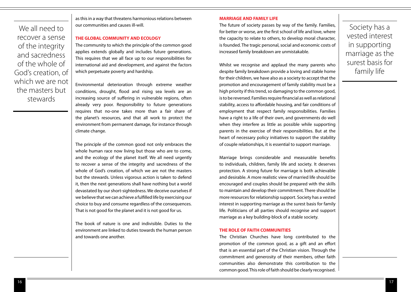We all need to recover a sense of the integrity and sacredness of the whole of God's creation, of which we are not the masters but stewards

as this in a way that threatens harmonious relations between our communities and causes ill-will.

## **THE GLOBAL COMMUNITY AND ECOLOGY**

The community to which the principle of the common good applies extends globally and includes future generations. This requires that we all face up to our responsibilities for international aid and development, and against the factors which perpetuate poverty and hardship.

Environmental deterioration through extreme weather conditions, drought, flood and rising sea levels are an increasing source of suffering in vulnerable regions, often already very poor. Responsibility to future generations requires that no-one takes more than a fair share of the planet's resources, and that all work to protect the environment from permanent damage, for instance through climate change.

The principle of the common good not only embraces the whole human race now living but those who are to come, and the ecology of the planet itself. We all need urgently to recover a sense of the integrity and sacredness of the whole of God's creation, of which we are not the masters but the stewards. Unless vigorous action is taken to defend it, then the next generations shall have nothing but a world devastated by our short-sightedness. We deceive ourselves if we believe that we can achieve a fulfilled life by exercising our choice to buy and consume regardless of the consequences. That is not good for the planet and it is not good for us.

The book of nature is one and indivisible. Duties to the environment are linked to duties towards the human person and towards one another.

### **MARRIAGE AND FAMILY LIFE**

The future of society passes by way of the family. Families, for better or worse, are the first school of life and love, where the capacity to relate to others, to develop moral character, is founded. The tragic personal, social and economic costs of increased family breakdown are unmistakable.

Whilst we recognise and applaud the many parents who despite family breakdown provide a loving and stable home for their children, we have also as a society to accept that the promotion and encouragement of family stability must be a high priority if this trend, so damaging to the common good, is to be reversed. Families require financial as well as relational stability, access to affordable housing, and fair conditions of employment that respect family responsibilities. Families have a right to a life of their own, and governments do well when they interfere as little as possible while supporting parents in the exercise of their responsibilities. But at the heart of necessary policy initiatives to support the stability of couple relationships, it is essential to support marriage.

Marriage brings considerable and measurable benefits to individuals, children, family life and society. It deserves protection. A strong future for marriage is both achievable and desirable. A more realistic view of married life should be encouraged and couples should be prepared with the skills to maintain and develop their commitment. There should be more resources for relationship support. Society has a vested interest in supporting marriage as the surest basis for family life. Politicians of all parties should recognise and support marriage as a key building-block of a stable society.

## **THE ROLE OF FAITH COMMUNITIES**

The Christian Churches have long contributed to the promotion of the common good, as a gift and an effort that is an essential part of the Christian vision. Through the commitment and generosity of their members, other faith communities also demonstrate this contribution to the common good. This role of faith should be clearly recognised.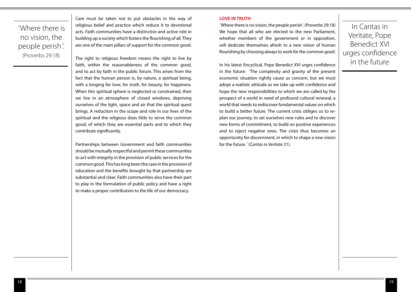## 'Where there is no vision, the people perish '. (Proverbs 29:18)

Care must be taken not to put obstacles in the way of religious belief and practice which reduce it to devotional acts. Faith communities have a distinctive and active role in building up a society which fosters the flourishing of all. They are one of the main pillars of support for the common good.

The right to religious freedom means the right to live by faith, within the reasonableness of the common good, and to act by faith in the public forum. This arises from the fact that the human person is, by nature, a spiritual being, with a longing for love, for truth, for beauty, for happiness. When this spiritual sphere is neglected or constrained, then we live in an atmosphere of closed windows, depriving ourselves of the light, space and air that the spiritual quest brings. A reduction in the scope and role in our lives of the spiritual and the religious does little to serve the common good, of which they are essential parts and to which they contribute significantly.

Partnerships between Government and faith communities should be mutually respectful and permit these communities to act with integrity in the provision of public services for the common good. This has long been the case in the provision of education and the benefits brought by that partnership are substantial and clear. Faith communities also have their part to play in the formulation of public policy and have a right to make a proper contribution to the life of our democracy.

## **LOVE IN TRUTH**

'Where there is no vision, the people perish'. (Proverbs 29:18) We hope that all who are elected to the new Parliament. whether members of the government or in opposition, will dedicate themselves afresh to a new vision of human flourishing by choosing always to work for the common good.

In his latest Encyclical, Pope Benedict XVI urges confidence in the future: 'The complexity and gravity of the present economic situation rightly cause us concern, but we must adopt a realistic attitude as we take up with confidence and hope the new responsibilities to which we are called by the prospect of a world in need of profound cultural renewal, a world that needs to rediscover fundamental values on which to build a better future. The current crisis obliges us to replan our journey, to set ourselves new rules and to discover new forms of commitment, to build on positive experiences and to reject negative ones. The crisis thus becomes an opportunity for discernment, in which to shape a new vision for the future. ' (*Caritas in Veritate* 21).

In Caritas in Veritate, Pope Benedict XVI urges confidence in the future